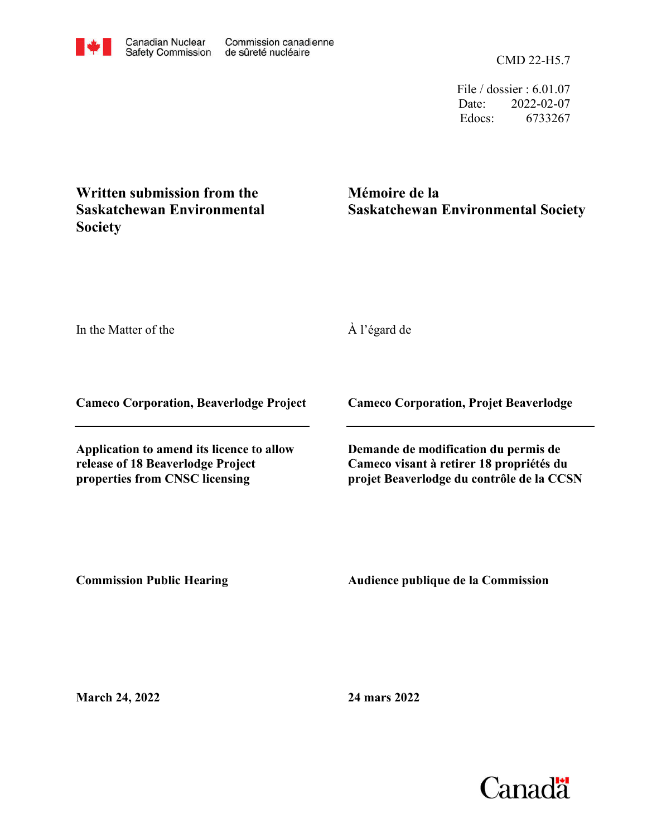CMD 22-H5.7

File / dossier : 6.01.07 Date: 2022-02-07 Edocs: 6733267

**Mémoire de la Saskatchewan Environmental Society**

In the Matter of the

**Society**

À l'égard de

**Cameco Corporation, Beaverlodge Project**

**Written submission from the Saskatchewan Environmental** 

**Application to amend its licence to allow release of 18 Beaverlodge Project properties from CNSC licensing**

**Cameco Corporation, Projet Beaverlodge**

**Demande de modification du permis de Cameco visant à retirer 18 propriétés du projet Beaverlodge du contrôle de la CCSN**

**Commission Public Hearing**

**Audience publique de la Commission** 

**March 24, 2022**

**24 mars 2022**

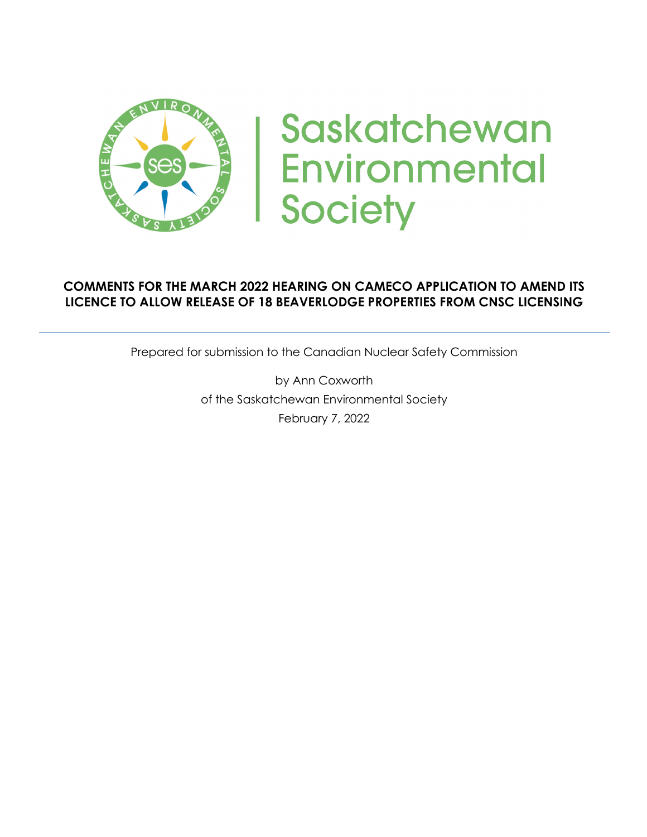

# Saskatchewan **Environmental Society**

## **COMMENTS FOR THE MARCH 2022 HEARING ON CAMECO APPLICATION TO AMEND ITS LICENCE TO ALLOW RELEASE OF 18 BEAVERLODGE PROPERTIES FROM CNSC LICENSING**

Prepared for submission to the Canadian Nuclear Safety Commission

by Ann Coxworth of the Saskatchewan Environmental Society February 7, 2022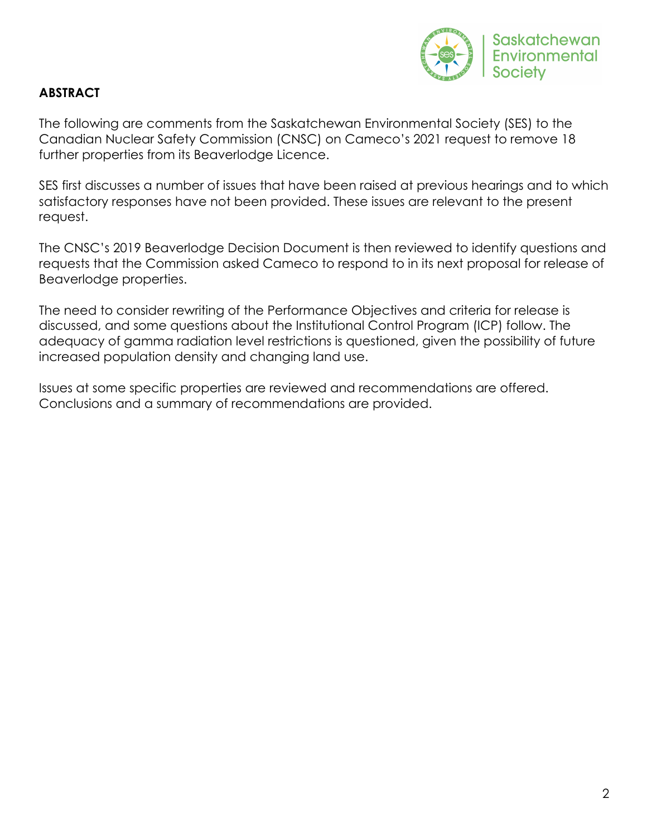

## **ABSTRACT**

The following are comments from the Saskatchewan Environmental Society (SES) to the Canadian Nuclear Safety Commission (CNSC) on Cameco's 2021 request to remove 18 further properties from its Beaverlodge Licence.

SES first discusses a number of issues that have been raised at previous hearings and to which satisfactory responses have not been provided. These issues are relevant to the present request.

The CNSC's 2019 Beaverlodge Decision Document is then reviewed to identify questions and requests that the Commission asked Cameco to respond to in its next proposal for release of Beaverlodge properties.

The need to consider rewriting of the Performance Objectives and criteria for release is discussed, and some questions about the Institutional Control Program (ICP) follow. The adequacy of gamma radiation level restrictions is questioned, given the possibility of future increased population density and changing land use.

Issues at some specific properties are reviewed and recommendations are offered. Conclusions and a summary of recommendations are provided.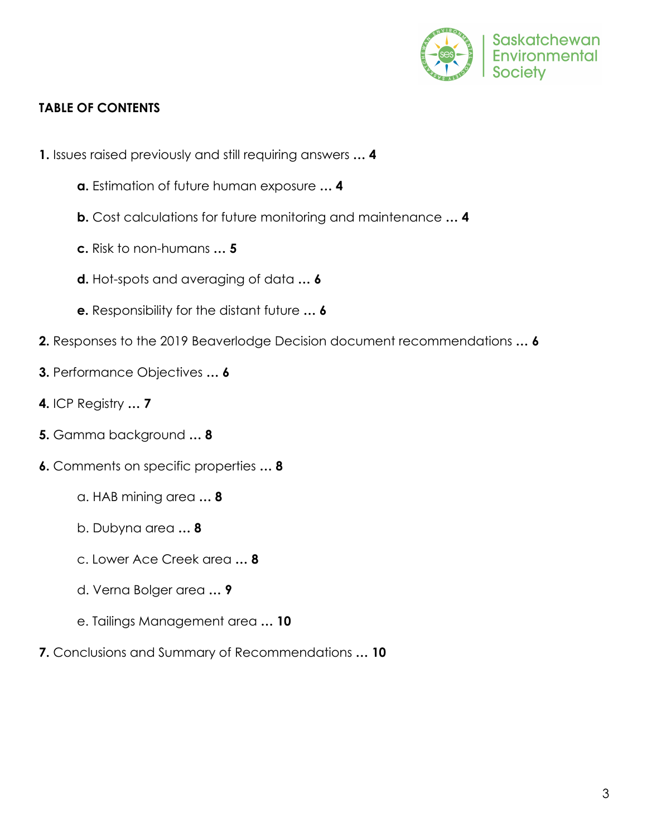

## **TABLE OF CONTENTS**

- **1.** Issues raised previously and still requiring answers **… 4**
	- **a.** Estimation of future human exposure **… 4**
	- **b.** Cost calculations for future monitoring and maintenance **… 4**
	- **c.** Risk to non-humans **… 5**
	- **d.** Hot-spots and averaging of data **… 6**
	- **e.** Responsibility for the distant future **… 6**
- **2.** Responses to the 2019 Beaverlodge Decision document recommendations **… 6**
- **3.** Performance Objectives **… 6**
- **4.** ICP Registry **… 7**
- **5.** Gamma background **… 8**
- **6.** Comments on specific properties **… 8**
	- a. HAB mining area **… 8**
	- b. Dubyna area **… 8**
	- c. Lower Ace Creek area **… 8**
	- d. Verna Bolger area **… 9**
	- e. Tailings Management area **… 10**
- **7.** Conclusions and Summary of Recommendations **… 10**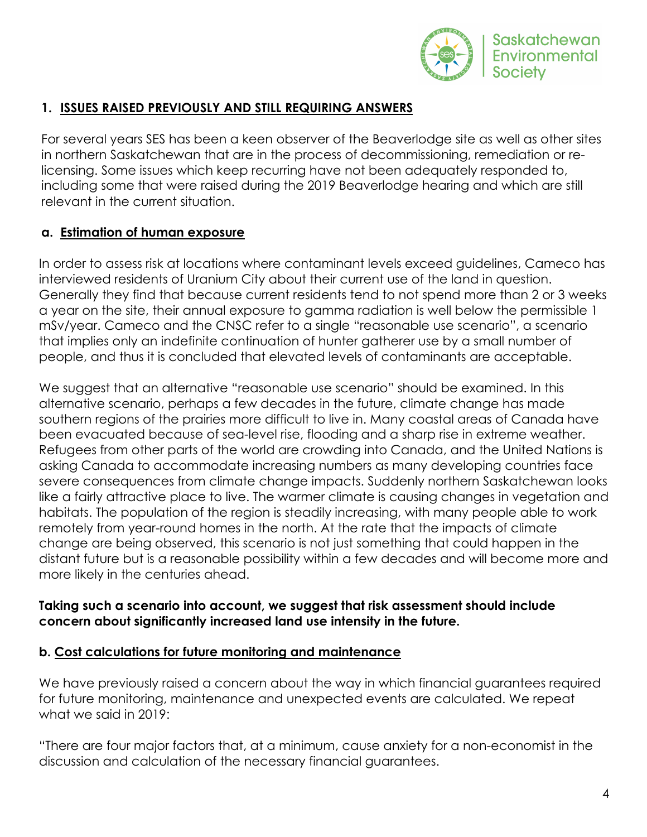

# **1. ISSUES RAISED PREVIOUSLY AND STILL REQUIRING ANSWERS**

For several years SES has been a keen observer of the Beaverlodge site as well as other sites in northern Saskatchewan that are in the process of decommissioning, remediation or relicensing. Some issues which keep recurring have not been adequately responded to, including some that were raised during the 2019 Beaverlodge hearing and which are still relevant in the current situation.

# **a. Estimation of human exposure**

In order to assess risk at locations where contaminant levels exceed guidelines, Cameco has interviewed residents of Uranium City about their current use of the land in question. Generally they find that because current residents tend to not spend more than 2 or 3 weeks a year on the site, their annual exposure to gamma radiation is well below the permissible 1 mSv/year. Cameco and the CNSC refer to a single "reasonable use scenario", a scenario that implies only an indefinite continuation of hunter gatherer use by a small number of people, and thus it is concluded that elevated levels of contaminants are acceptable.

We suggest that an alternative "reasonable use scenario" should be examined. In this alternative scenario, perhaps a few decades in the future, climate change has made southern regions of the prairies more difficult to live in. Many coastal areas of Canada have been evacuated because of sea-level rise, flooding and a sharp rise in extreme weather. Refugees from other parts of the world are crowding into Canada, and the United Nations is asking Canada to accommodate increasing numbers as many developing countries face severe consequences from climate change impacts. Suddenly northern Saskatchewan looks like a fairly attractive place to live. The warmer climate is causing changes in vegetation and habitats. The population of the region is steadily increasing, with many people able to work remotely from year-round homes in the north. At the rate that the impacts of climate change are being observed, this scenario is not just something that could happen in the distant future but is a reasonable possibility within a few decades and will become more and more likely in the centuries ahead.

## **Taking such a scenario into account, we suggest that risk assessment should include concern about significantly increased land use intensity in the future.**

## **b. Cost calculations for future monitoring and maintenance**

We have previously raised a concern about the way in which financial guarantees required for future monitoring, maintenance and unexpected events are calculated. We repeat what we said in 2019:

"There are four major factors that, at a minimum, cause anxiety for a non-economist in the discussion and calculation of the necessary financial guarantees.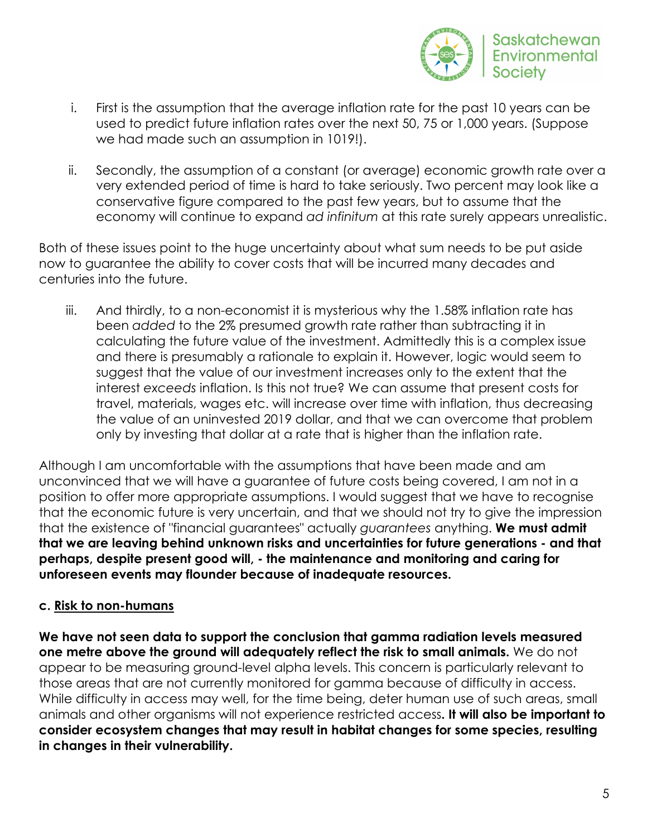

- i. First is the assumption that the average inflation rate for the past 10 years can be used to predict future inflation rates over the next 50, 75 or 1,000 years. (Suppose we had made such an assumption in 1019!).
- ii. Secondly, the assumption of a constant (or average) economic growth rate over a very extended period of time is hard to take seriously. Two percent may look like a conservative figure compared to the past few years, but to assume that the economy will continue to expand *ad infinitum* at this rate surely appears unrealistic.

Both of these issues point to the huge uncertainty about what sum needs to be put aside now to guarantee the ability to cover costs that will be incurred many decades and centuries into the future.

iii. And thirdly, to a non-economist it is mysterious why the 1.58% inflation rate has been *added* to the 2% presumed growth rate rather than subtracting it in calculating the future value of the investment. Admittedly this is a complex issue and there is presumably a rationale to explain it. However, logic would seem to suggest that the value of our investment increases only to the extent that the interest *exceeds* inflation. Is this not true? We can assume that present costs for travel, materials, wages etc. will increase over time with inflation, thus decreasing the value of an uninvested 2019 dollar, and that we can overcome that problem only by investing that dollar at a rate that is higher than the inflation rate.

Although I am uncomfortable with the assumptions that have been made and am unconvinced that we will have a guarantee of future costs being covered, I am not in a position to offer more appropriate assumptions. I would suggest that we have to recognise that the economic future is very uncertain, and that we should not try to give the impression that the existence of "financial guarantees" actually *guarantees* anything. **We must admit that we are leaving behind unknown risks and uncertainties for future generations - and that perhaps, despite present good will, - the maintenance and monitoring and caring for unforeseen events may flounder because of inadequate resources.**

## **c. Risk to non-humans**

**We have not seen data to support the conclusion that gamma radiation levels measured one metre above the ground will adequately reflect the risk to small animals.** We do not appear to be measuring ground-level alpha levels. This concern is particularly relevant to those areas that are not currently monitored for gamma because of difficulty in access. While difficulty in access may well, for the time being, deter human use of such areas, small animals and other organisms will not experience restricted access**. It will also be important to consider ecosystem changes that may result in habitat changes for some species, resulting in changes in their vulnerability.**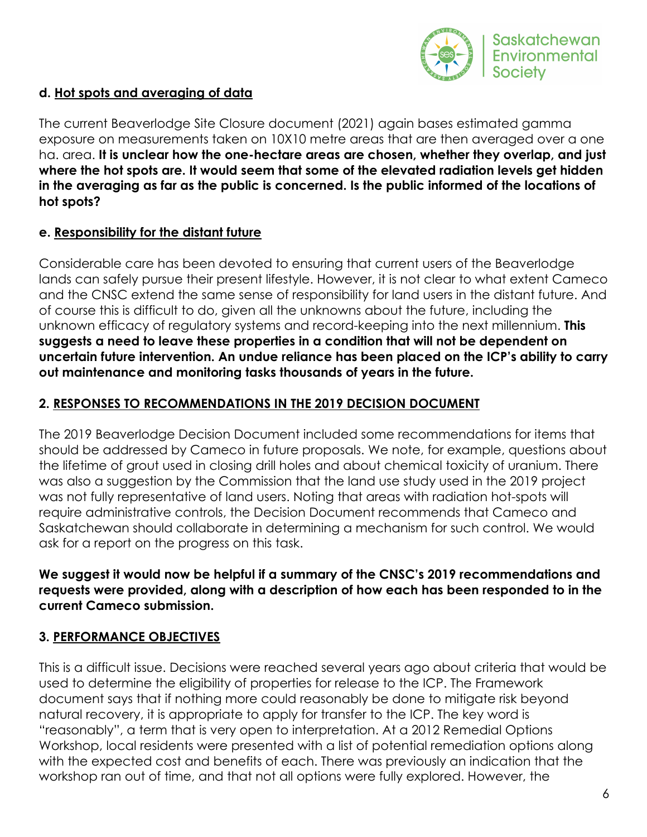

## **d. Hot spots and averaging of data**

The current Beaverlodge Site Closure document (2021) again bases estimated gamma exposure on measurements taken on 10X10 metre areas that are then averaged over a one ha. area. **It is unclear how the one-hectare areas are chosen, whether they overlap, and just where the hot spots are. It would seem that some of the elevated radiation levels get hidden in the averaging as far as the public is concerned. Is the public informed of the locations of hot spots?**

## **e. Responsibility for the distant future**

Considerable care has been devoted to ensuring that current users of the Beaverlodge lands can safely pursue their present lifestyle. However, it is not clear to what extent Cameco and the CNSC extend the same sense of responsibility for land users in the distant future. And of course this is difficult to do, given all the unknowns about the future, including the unknown efficacy of regulatory systems and record-keeping into the next millennium. **This suggests a need to leave these properties in a condition that will not be dependent on uncertain future intervention. An undue reliance has been placed on the ICP's ability to carry out maintenance and monitoring tasks thousands of years in the future.**

## **2. RESPONSES TO RECOMMENDATIONS IN THE 2019 DECISION DOCUMENT**

The 2019 Beaverlodge Decision Document included some recommendations for items that should be addressed by Cameco in future proposals. We note, for example, questions about the lifetime of grout used in closing drill holes and about chemical toxicity of uranium. There was also a suggestion by the Commission that the land use study used in the 2019 project was not fully representative of land users. Noting that areas with radiation hot-spots will require administrative controls, the Decision Document recommends that Cameco and Saskatchewan should collaborate in determining a mechanism for such control. We would ask for a report on the progress on this task.

**We suggest it would now be helpful if a summary of the CNSC's 2019 recommendations and requests were provided, along with a description of how each has been responded to in the current Cameco submission.**

# **3. PERFORMANCE OBJECTIVES**

This is a difficult issue. Decisions were reached several years ago about criteria that would be used to determine the eligibility of properties for release to the ICP. The Framework document says that if nothing more could reasonably be done to mitigate risk beyond natural recovery, it is appropriate to apply for transfer to the ICP. The key word is "reasonably", a term that is very open to interpretation. At a 2012 Remedial Options Workshop, local residents were presented with a list of potential remediation options along with the expected cost and benefits of each. There was previously an indication that the workshop ran out of time, and that not all options were fully explored. However, the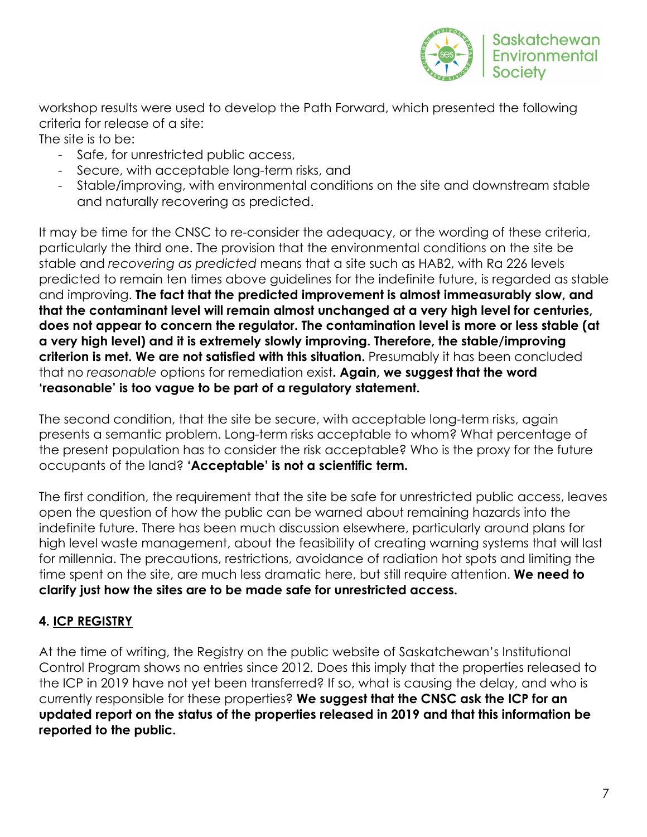

workshop results were used to develop the Path Forward, which presented the following criteria for release of a site:

The site is to be:

- Safe, for unrestricted public access,
- Secure, with acceptable long-term risks, and
- Stable/improving, with environmental conditions on the site and downstream stable and naturally recovering as predicted.

It may be time for the CNSC to re-consider the adequacy, or the wording of these criteria, particularly the third one. The provision that the environmental conditions on the site be stable and *recovering as predicted* means that a site such as HAB2, with Ra 226 levels predicted to remain ten times above guidelines for the indefinite future, is regarded as stable and improving. **The fact that the predicted improvement is almost immeasurably slow, and that the contaminant level will remain almost unchanged at a very high level for centuries, does not appear to concern the regulator. The contamination level is more or less stable (at a very high level) and it is extremely slowly improving. Therefore, the stable/improving criterion is met. We are not satisfied with this situation.** Presumably it has been concluded that no *reasonable* options for remediation exist**. Again, we suggest that the word 'reasonable' is too vague to be part of a regulatory statement.** 

The second condition, that the site be secure, with acceptable long-term risks, again presents a semantic problem. Long-term risks acceptable to whom? What percentage of the present population has to consider the risk acceptable? Who is the proxy for the future occupants of the land? **'Acceptable' is not a scientific term.**

The first condition, the requirement that the site be safe for unrestricted public access, leaves open the question of how the public can be warned about remaining hazards into the indefinite future. There has been much discussion elsewhere, particularly around plans for high level waste management, about the feasibility of creating warning systems that will last for millennia. The precautions, restrictions, avoidance of radiation hot spots and limiting the time spent on the site, are much less dramatic here, but still require attention. **We need to clarify just how the sites are to be made safe for unrestricted access.** 

# **4. ICP REGISTRY**

At the time of writing, the Registry on the public website of Saskatchewan's Institutional Control Program shows no entries since 2012. Does this imply that the properties released to the ICP in 2019 have not yet been transferred? If so, what is causing the delay, and who is currently responsible for these properties? **We suggest that the CNSC ask the ICP for an updated report on the status of the properties released in 2019 and that this information be reported to the public.**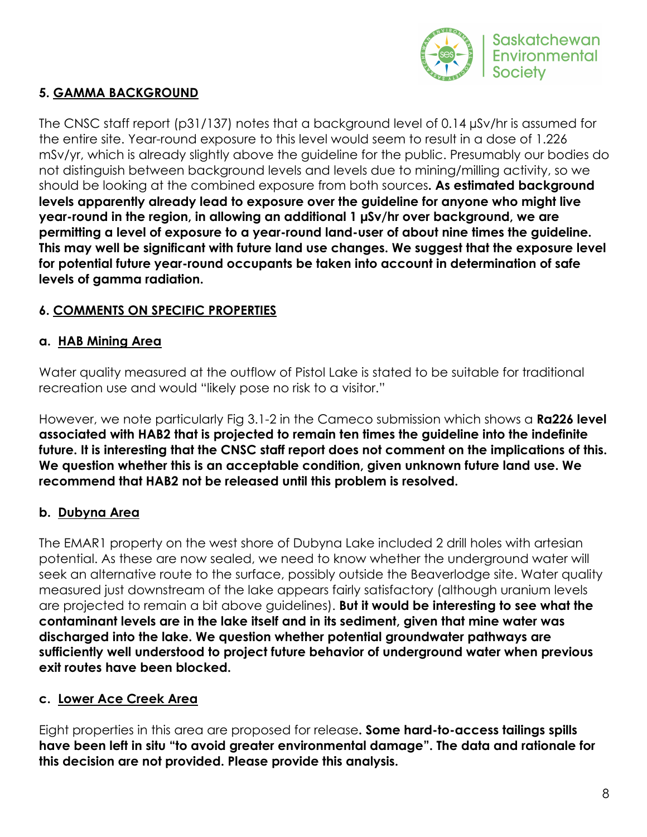

## **5. GAMMA BACKGROUND**

The CNSC staff report (p31/137) notes that a background level of 0.14 µSv/hr is assumed for the entire site. Year-round exposure to this level would seem to result in a dose of 1.226 mSv/yr, which is already slightly above the guideline for the public. Presumably our bodies do not distinguish between background levels and levels due to mining/milling activity, so we should be looking at the combined exposure from both sources**. As estimated background levels apparently already lead to exposure over the guideline for anyone who might live year-round in the region, in allowing an additional 1 µSv/hr over background, we are permitting a level of exposure to a year-round land-user of about nine times the guideline. This may well be significant with future land use changes. We suggest that the exposure level for potential future year-round occupants be taken into account in determination of safe levels of gamma radiation.** 

## **6. COMMENTS ON SPECIFIC PROPERTIES**

## **a. HAB Mining Area**

Water quality measured at the outflow of Pistol Lake is stated to be suitable for traditional recreation use and would "likely pose no risk to a visitor."

However, we note particularly Fig 3.1-2 in the Cameco submission which shows a **Ra226 level associated with HAB2 that is projected to remain ten times the guideline into the indefinite future. It is interesting that the CNSC staff report does not comment on the implications of this. We question whether this is an acceptable condition, given unknown future land use. We recommend that HAB2 not be released until this problem is resolved.**

# **b. Dubyna Area**

The EMAR1 property on the west shore of Dubyna Lake included 2 drill holes with artesian potential. As these are now sealed, we need to know whether the underground water will seek an alternative route to the surface, possibly outside the Beaverlodge site. Water quality measured just downstream of the lake appears fairly satisfactory (although uranium levels are projected to remain a bit above guidelines). **But it would be interesting to see what the contaminant levels are in the lake itself and in its sediment, given that mine water was discharged into the lake. We question whether potential groundwater pathways are sufficiently well understood to project future behavior of underground water when previous exit routes have been blocked.**

## **c. Lower Ace Creek Area**

Eight properties in this area are proposed for release**. Some hard-to-access tailings spills have been left in situ "to avoid greater environmental damage". The data and rationale for this decision are not provided. Please provide this analysis.**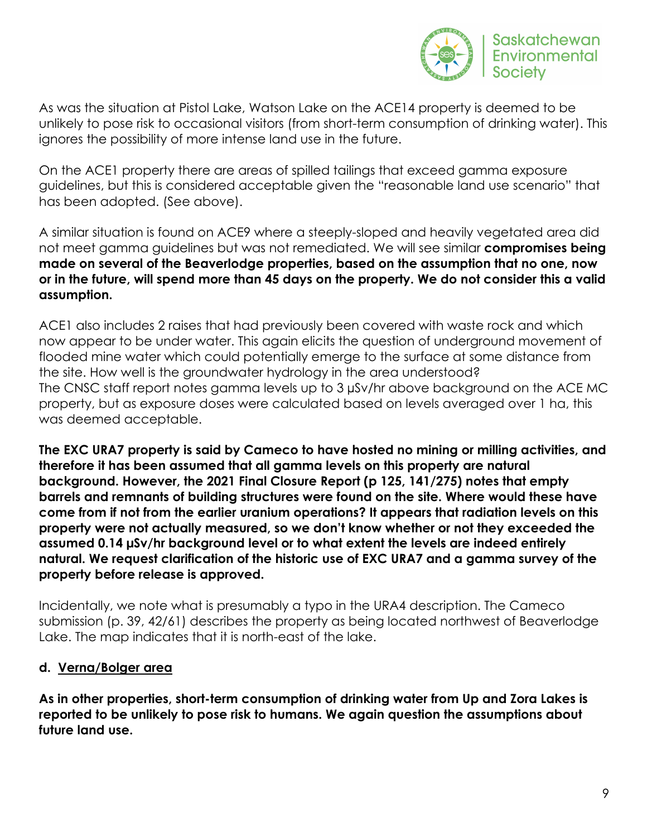

As was the situation at Pistol Lake, Watson Lake on the ACE14 property is deemed to be unlikely to pose risk to occasional visitors (from short-term consumption of drinking water). This ignores the possibility of more intense land use in the future.

On the ACE1 property there are areas of spilled tailings that exceed gamma exposure guidelines, but this is considered acceptable given the "reasonable land use scenario" that has been adopted. (See above).

A similar situation is found on ACE9 where a steeply-sloped and heavily vegetated area did not meet gamma guidelines but was not remediated. We will see similar **compromises being made on several of the Beaverlodge properties, based on the assumption that no one, now or in the future, will spend more than 45 days on the property. We do not consider this a valid assumption.**

ACE1 also includes 2 raises that had previously been covered with waste rock and which now appear to be under water. This again elicits the question of underground movement of flooded mine water which could potentially emerge to the surface at some distance from the site. How well is the groundwater hydrology in the area understood? The CNSC staff report notes gamma levels up to 3 µSv/hr above background on the ACE MC property, but as exposure doses were calculated based on levels averaged over 1 ha, this was deemed acceptable.

**The EXC URA7 property is said by Cameco to have hosted no mining or milling activities, and therefore it has been assumed that all gamma levels on this property are natural background. However, the 2021 Final Closure Report (p 125, 141/275) notes that empty barrels and remnants of building structures were found on the site. Where would these have come from if not from the earlier uranium operations? It appears that radiation levels on this property were not actually measured, so we don't know whether or not they exceeded the assumed 0.14 µSv/hr background level or to what extent the levels are indeed entirely natural. We request clarification of the historic use of EXC URA7 and a gamma survey of the property before release is approved.**

Incidentally, we note what is presumably a typo in the URA4 description. The Cameco submission (p. 39, 42/61) describes the property as being located northwest of Beaverlodge Lake. The map indicates that it is north-east of the lake.

## **d. Verna/Bolger area**

**As in other properties, short-term consumption of drinking water from Up and Zora Lakes is reported to be unlikely to pose risk to humans. We again question the assumptions about future land use.**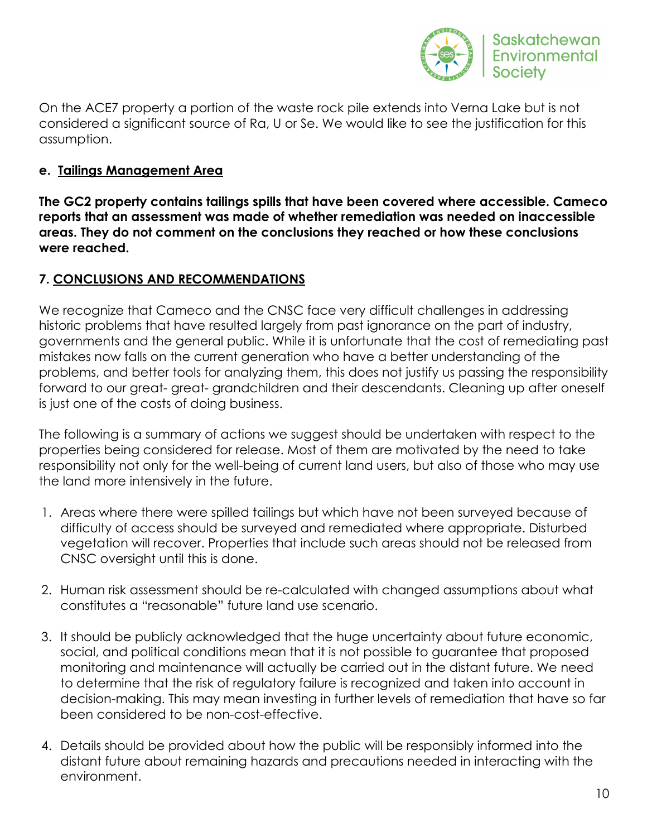

On the ACE7 property a portion of the waste rock pile extends into Verna Lake but is not considered a significant source of Ra, U or Se. We would like to see the justification for this assumption.

## **e. Tailings Management Area**

**The GC2 property contains tailings spills that have been covered where accessible. Cameco reports that an assessment was made of whether remediation was needed on inaccessible areas. They do not comment on the conclusions they reached or how these conclusions were reached.**

## **7. CONCLUSIONS AND RECOMMENDATIONS**

We recognize that Cameco and the CNSC face very difficult challenges in addressing historic problems that have resulted largely from past ignorance on the part of industry, governments and the general public. While it is unfortunate that the cost of remediating past mistakes now falls on the current generation who have a better understanding of the problems, and better tools for analyzing them, this does not justify us passing the responsibility forward to our great- great- grandchildren and their descendants. Cleaning up after oneself is just one of the costs of doing business.

The following is a summary of actions we suggest should be undertaken with respect to the properties being considered for release. Most of them are motivated by the need to take responsibility not only for the well-being of current land users, but also of those who may use the land more intensively in the future.

- 1. Areas where there were spilled tailings but which have not been surveyed because of difficulty of access should be surveyed and remediated where appropriate. Disturbed vegetation will recover. Properties that include such areas should not be released from CNSC oversight until this is done.
- 2. Human risk assessment should be re-calculated with changed assumptions about what constitutes a "reasonable" future land use scenario.
- 3. It should be publicly acknowledged that the huge uncertainty about future economic, social, and political conditions mean that it is not possible to guarantee that proposed monitoring and maintenance will actually be carried out in the distant future. We need to determine that the risk of regulatory failure is recognized and taken into account in decision-making. This may mean investing in further levels of remediation that have so far been considered to be non-cost-effective.
- 4. Details should be provided about how the public will be responsibly informed into the distant future about remaining hazards and precautions needed in interacting with the environment.